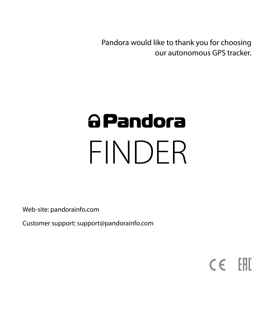Pandora would like to thank you for choosing our autonomous GPS tracker.

# a Pandora FINDER

Web-site: pandorainfo.com

Customer support: support@pandorainfo.com

 $C \in \mathbb{H}$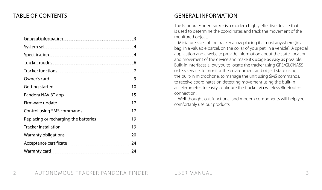# TABLE OF CONTENTS

| <b>General information</b>            | 3  |
|---------------------------------------|----|
| System set                            | 4  |
| Specification                         | 4  |
| Tracker modes                         | 6  |
| <b>Tracker functions</b>              | 7  |
| Owner's card                          | 9  |
| <b>Getting started</b>                | 10 |
| Pandora NAV BT app                    | 15 |
| Firmware update                       | 17 |
| Control using SMS commands            | 17 |
| Replacing or recharging the batteries | 19 |
| Tracker installation                  | 19 |
| Warranty obligations                  | 20 |
| Acceptance certificate                | 24 |
| Warranty card                         | 24 |

# GENERAL INFORMATION

The Pandora Finder tracker is a modern highly effective device that is used to determine the coordinates and track the movement of the monitored object.

Miniature sizes of the tracker allow placing it almost anywhere (in a bag, in a valuable parcel, on the collar of your pet, in a vehicle). A special application and a website provide information about the state, location and movement of the device and make it's usage as easy as possible. Built-in interfaces allow you to locate the tracker using GPS/GLONASS or LBS service, to monitor the environment and object state using the built-in microphone, to manage the unit using SMS commands, to receive coordinates on detecting movement using the built-in accelerometer, to easily configure the tracker via wireless Bluetoothconnection.

Well-thought-out functional and modern components will help you comfortably use our products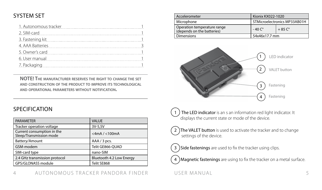# SYSTEM SET

| 1. Autonomous tracker |  |
|-----------------------|--|
| 2. SIM-card           |  |
| 3. Fastening kit      |  |
| 4. AAA Batteries      |  |
| 5. Owner's card       |  |
| 6. User manual        |  |
| 7. Packaging          |  |
|                       |  |

**NOTE! The manufacturer reserves the right to change the set and construction of the product to improve its technological and operational parameters without notification.**

## **SPECIFICATION**

| VALUE                    |
|--------------------------|
| 3V-5.5V                  |
| $<$ 4mA / $<$ 100mA      |
| AAA / 3 pcs.             |
| Telit GE866-OUAD         |
| nano-SIM                 |
| Bluetooth 4.2 Low Energy |
| Telit SE868              |
|                          |

| Accelerometer                                             | Kionix KX022-1020            |               |  |  |  |
|-----------------------------------------------------------|------------------------------|---------------|--|--|--|
| Microphone                                                | STMicroelectronics MP33AB01H |               |  |  |  |
| Operation temperature range<br>(depends on the batteries) | $-40^\circ$                  | $+85^{\circ}$ |  |  |  |
| Dimensions                                                | 54x46x17.7 mm                |               |  |  |  |



) The LED indicator is an s an information red light indicator. It displays the current state or mode of the device.

- The VALET button is used to activate the tracker and to change settings of the device.
- J ) Side fastenings are used to fix the tracker using clips.

) Magnetic fastenings are using to fix the tracker on a metal surface.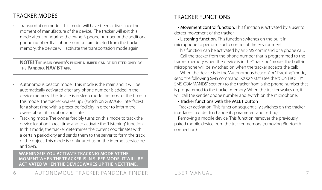# TRACKER MODES

• Transportation mode. This mode will have been active since the moment of manufacture of the device. The tracker will exit this mode after configuring the owner's phone number or the additional phone number. If all phone number are deleted from the tracker memory, the device will activate the transportation mode again.

**NOTE! The main owner's phone number can be deleted only by the Pandora NAV BT app.**

- Autonomous beacon mode. This mode is the main and it will be automatically activated after any phone number is added in the device memory. The device is in sleep mode the most of the time in this mode. The tracker «wakes up» (switch on GSM/GPS interfaces) for a short time with a preset periodicity in order to inform the owner about its location and state.
- Tracking mode. The owner forcibly turns on this mode to track the device location in real time and to activate the "Listening" function. In this mode, the tracker determines the current coordinates with a certain periodicity and sends them to the server to form the track of the object. This mode is configured using the internet service or/ and SMS.

#### **WARNING! IF YOU ACTIVATE TRACKNIG MODE AT THE MOMENT WHEN THE TRACKER IS IN SLEEP MODE. IT WILL BE ACTIVATED WHEN THE DEVICE WAKES UP THE NEXT TIME.**

# TRACKER FUNCTIONS

• Movement control function. This function is activated by a user to detect movement of the tracker.

• Listening function. This function switches on the built-in microphone to perform audio control of the environment.

This function can be activated by an SMS command or a phone call.

- Call the tracker from the phone number that is programmed to the tracker memory when the device is in the "Tracking" mode. The built-in microphone will be switched on when the tracker accepts the call;

- When the device is in the "Autonomous beacon" or "Tracking" mode, send the following SMS command: XXXX\*007\* (see the "CONTROL BY SMS COMMANDS" section) to the tracker from a the phone number that is programmed to the tracker memory. When the tracker wakes up, it will call the sender phone number and switch on the microphone.

#### • Tracker functions with the VALET button

 Tracker activation. This function sequentially switches on the tracker interfaces in order to change its parameters and settings.

Removing a mobile device. This function removes the previously paired mobile device from the tracker memory (removing Bluetooth connection).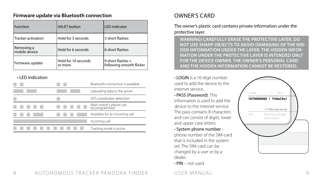#### **Firmware update via Bluetooth connection**

| Function                    | <b>VALET</b> button            | <b>LED</b> indicator                          |
|-----------------------------|--------------------------------|-----------------------------------------------|
| Tracker activation          | Hold for 3 seconds             | 3 short flashes                               |
| Removing a<br>mobile device | Hold for 6 seconds             | 6 short flashes                               |
| Firmware update             | Hold for 10 seconds<br>or more | 9 short flashes +<br>following smooth flicker |

#### • LED indication

|  | Bluetooth-connection is available       |
|--|-----------------------------------------|
|  | Uploading data to the server            |
|  | GPS coordinates detection               |
|  | Main owner's phone can<br>be programmed |
|  | Available for an incoming call          |
|  | Incoming call                           |
|  | Tracking mode is active                 |

# OWNER'S CARD

The owner's plastic card contains private information under the protective layer.

**WARNING! CAREFULLY ERASE THE PROTECTIVE LAYER, DO NOT USE SHARP OBJECTS TO AVOID DAMAGING OF THE HID-DEN INFORMATION UNDER THE LAYER. THE HIDDEN INFOR-MATION UNDER THE PROTECTIVE LAYER IS INTENDED ONLY FOR THE DEVICE OWNER. THE OWNER'S PERSONAL CARD AND THE HIDDEN INFORMATION CANNOT BE RESTORED.**

• LOGIN is a 10-digit number used to add the device to the internet service.

• PASS (Password). This information is used to add the device to the internet service. The pass contains 8 characters and can consist of digits, lower and upper case letters.

• System phone number –

phone number of the SIM-card that is included in the system set. The SIM-card can be changed by a user or by a dealer.

• PIN – not used

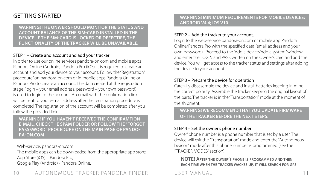# GETTING STARTED

**WARNING! THE ONWER SHOULD MONITOR THE STATUS AND ACCOUNT BALANCE OF THE SIM-CARD INSTALLED IN THE DEVICE. IF THE SIM-CARD IS LOCKED OR DEFECTIFE, THE FUNCTIONALITY OF THE TRACKER WILL BE UNAVAILABLE.** 

#### STEP 1 – Create and account and add your tracker

In order to use our online services pandora-on.com and mobile apps Pandora Online (Android), Pandora Pro (iOS), it is required to create an account and add your device to your account. Follow the "Registration" procedure" on pandora-on.com or in mobile apps Pandora Online or Pandora Pro to create an account. The data created at the registration stage (login – your email address, password – your own password) is used to login to the account. An email with the confirmation link will be sent to your e-mail address after the registration procedure is completed. The registration of the account will be completed after you follow the provided link.

**WARNING! IF YOU HAVEN'T RECEIVED THE CONFIRAMTION E-MAIL, CHECK THE SPAM FOLDER OR FOLLOW THE "FORGOT PASSSWORD" PROCEDURE ON THE MAIN PAGE OF PANDO-RA-ON.COM**

Web-service: pandora-on.com

The mobile apps can be downloaded from the appropriate app store: App Store (iOS) – Pandora Pro;

Google Play (Android) - Pandora Online.

**WARNING! MINIMUM REQUIREMENTS FOR MOBILE DEVICES: ANDROID V4.4; IOS V10.**

#### STEP 2 – Add the tracker to your account.

Login to the web-service pandora-on.com or mobile app Pandora Online/Pandora Pro with the specified data (email address and your own password). Proceed to the "Add a device/Add a system" window and enter the LOGIN and PASS written on the Owner's card and add the device. You will get access to the tracker status and settings after adding the device to your account

#### STEP 3 – Prepare the device for operation

Carefully disassemble the device and install batteries keeping in mind the correct polarity. Assemble the tracker keeping the original layout of the parts. The tracker is in the "Transportation" mode at the moment of the shipment.

**WARNING! WE RECOMMEND THAT YOU UPDATE FIRMWARE OF THE TRACKER BEFORE THE NEXT STEPS.**

#### STEP 4 – Set the owner's phone number

Owner' phone number is a phone number that is set by a user. The device will exit the "Transportation" mode and enter the "Autonomous beacon" mode after this phone number is programmed (see the "TRACKER MODES" section).

#### **NOTE! After the owner's phone is programmed and then each time when the tracker wackes up, it will search for gps**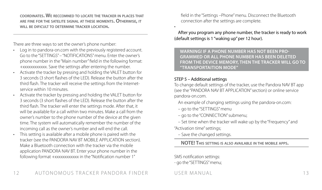**coordinates. We reccomned to locate the tracker in places that are fine for the satelite signal at these moments. Otherwise, it will be dificult to determine tracker location.**

There are three ways to set the owner's phone number:

- Log in to pandora-on.com with the previously registered account. Go to the "SETTINGS" – "NOTIFICATIONS" menu. Enter the owner's phone number in the "Main number" field in the following format: +xxхххххххххх. Save the settings after entering the number.
- Activate the tracker by pressing and holding the VALET button for 3 seconds (3 short flashes of the LED). Release the button after the third flash. The tracker will receive the settings from the Internetservice within 10 minutes.
- Activate the tracker by pressing and holding the VALET button for 3 seconds (3 short flashes of the LED). Release the button after the third flash. The tracker will enter the settings mode. After that, it will be available for a call within two minutes. Make a call from the owner's number to the phone number of the device at the given time. The system will automatically remember the number of the incoming call as the owner's number and will end the call. This setting is available after a mobile phone is paired with the
- tracker (see the PANDORA NAV BT MOBILE APPLICATION section). Make a Bluetooth connection with the tracker via the mobile application PANDORA NAV BT. Enter your phone number in the following format +xxxxxxxxxxxx in the "Notification number 1"

field in the "Settings –Phone" menu. Disconnect the Bluetooth connection after the settings are complete.

#### After you program any phone number, the tracker is ready to work (default settings is 1 "waking up" per 12 hour).

**WARNING! IF A PHONE NUMBER HAS NOT BEEN PRO-GRAMMED OR ALL PHONE NUMBER HAS BEEN DELETED FROM THE DEVICE MEMORY, THEN THE TRACKER WILL GO TO "TRANSPORTAITION MODE"**

#### STEP 5 – Additional settings

•

To change default settings of the tracker, use the Pandora NAV BT app (see the "PANDORA NAV BT APPLICATION" section) or online service pandora-on.com.

An example of changing settings using the pandora-on.com:

- go to the "SETTINGS" menu
- go to the "CONNECTION" submenu;

– Set time when the tracker will wake up by the "Frequency" and "Activation time" settings;

– Save the changed settings.

**NOTE! This setting is also available in the mobile apps.**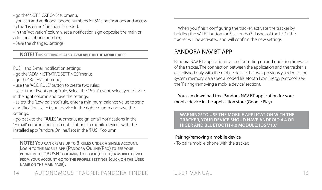- go the "NOTIFICATIONS" submenu;

- you can add additional phone numbers for SMS notifications and access to the "Listening" function if needed:

- in the "Activation" column, set a notification sign opposite the main or additional phone number;

- Save the changed settings.

### **NOTE! This setting is also available in the mobile apps**

PUSH and E-mail notification settings:

- go the "ADMINISTRATIVE SETTINGS" menu;

- go the "RULES" submenu;

- use the "ADD RULE" button to create two rules;
- select the "Event group" rule, Select the "Point" event, select your device in the right column and save the settings;
- select the "Low balance" rule, enter a minimum balance value to send a notification, select your device in the right column and save the settings;
- go back to the "RULES" submenu, assign email notifications in the "E-mail" column and push notifications to mobile devices with the installed app(Pandora Online/Pro) in the "PUSH" column.

**NOTE! You can create up to 3 rules under <sup>a</sup> single account. Login to the mobile app (Pandora Online/Pro) to see your phone in the "PUSH" column. To block (delete) a mobile device from your account go to the profile settings (click on the User name on the main page).** 

When you finish configuring the tracker, activate the tracker by holding the VALET button for 3 seconds (3 flashes of the LED), the tracker will be activated and will confirm the new settings.

# PANDORA NAV BT APP

Pandora NAV BT application is a tool for setting up and updating firmware of the tracker. The connection between the application and the tracker is established only with the mobile device that was previously added to the system memory via a special coded Bluetooth Low Energy protocol (see the "Pairing/removing a mobile device" section).

#### You can download free Pandora NAV BT application for your mobile device in the application store (Google Play).

#### **WARNING! TO USE THE MOBILE APPLICATION WITH THE TRACKER, YOUR DEVICE SHOUD HAVE ANDROID 4.4 OR HIGER AND BLUETOOTH 4.0 MODULE; IOS V10."**

#### Pairing/removing a mobile device

• To pair a mobile phone with the tracker: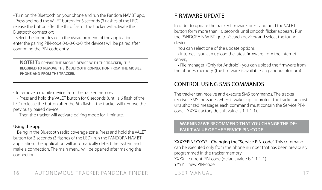- Turn on the Bluetooth on your phone and run the Pandora NAV BT app;

- Press and hold the VALET button for 3 seconds (3 flashes of the LED), release the button after the third flash – the tracker will activate the Bluetooth connection;

- Select the found device in the «Search» menu of the application, enter the pairing PIN-code 0-0-0-0-0-0, the devices will be paired after confirming the PIN-code entry.

**NOTE! To re-pair the mobile device with the tracker, it is required to remove the Bluetooth connection from the mobile phone and from the tracker.**

• To remove a mobile device from the tracker memory:

- Press and hold the VALET button for 6 seconds (until a 6 flash of the LED), release the button after the 6th flash – the tracker will remove the previously paired device;

- Then the tracker will activate pairing mode for 1 minute.

### Using the app

Being in the Bluetooth radio coverage zone, Press and hold the VALET button for 3 seconds (3 flashes of the LED), run the PANDORA NAV BT application. The application will automatically detect the system and make a connection. The main menu will be opened after making the connection.

# FIRMWARE UPDATE

In order to update the tracker firmware, press and hold the VALET button form more than 10 seconds until smooth flicker appears.. Run the PANDORA NAV BT, go to «Search device» and select the found device.

You can select one of the update options

• internet - you can upload the latest firmware from the internet server.;

• File manager (Only for Android)- you can upload the firmware from the phone's memory. (the firmware is available on pandorainfo.com).

# CONTROL USING SMS COMMANDS

The tracker can receive and execute SMS commands. The tracker receives SMS messages when it wakes up. To protect the tracker against unauthorized messages each command must contain the Service PINcode - ХХХХ (factory default value is 1-1-1-1).

#### **WARNING! WE RECOMMEND THAT YOU CHANGE THE DE-FAULT VALUE OF THE SERVICE PIN-CODE**

ХХХХ\*PIN\*YYYY\* - Changing the "Service PIN-code". This command can be executed only from the phone number that has been previously programmed in the tracker memory ХХХХ – current PIN-code (default value is 1-1-1-1) YYYY – new PIN-code.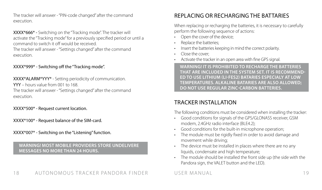The tracker will answer - "PIN-code changed" after the command execution.

XXXX\*666\* - Switching on the "Tracking mode". The tracker will activate the "Tracking mode" for a previously specified period or until a command to switch it off would be received. The tracker will answer - "Settings changed" after the command

execution.

#### ХХХХ\*999\* - Switching off the "Tracking mode".

ХХХХ\*ALARM\*YYY\* - Setting periodicity of communication. YYY – hours value from 001 to 168. The tracker will answer - "Settings changed" after the command execution.

ХХХХ\*500\* - Request current location.

ХХХХ\*100\* - Request balance of the SIM-card.

ХХХХ\*007\* - Switching on the "Listening" function.

**WARNING! MOST MOBILE PROVIDERS STORE UNDELIVERE MESSAGES NO MORE THAN 24 HOURS.**

# REPLACING OR RECHARGING THE BATTARIES

When replacing or recharging the batteries, it is necessary to carefully perform the following sequence of actions:

- Open the cover of the device;
- Replace the batteries:
- Insert the batteries keeping in mind the correct polarity.
- Close the cover;
- Activate the tracker in an open area with fine GPS signal.

**WARNING! IT IS PROHIBITED TO RECHARGE THE BATTERIES THAT ARE INCLUDED IN THE SYSTEM SET. IT IS RECOMMEND-ED TO USE LITHIUM (LI-FES2) BATARIES ESPECIALY AT LOW TEMPERATURES. ALKALINE BATARIES ARE ALSO ALLOWED; DO NOT USE REGULAR ZINC-CARBON BATTERIES.**

# TRACKER INSTALL ATION

The following conditions must be considered when installing the tracker:

- Good conditions for signals of the GPS/GLONASS receiver, GSM modem, 2.4GHz radio interface (BLE4.2);
- Good conditions for the built-in microphone operation;
- The module must be rigidly fixed in order to avoid damage and movement while driving;
- The device must be installed in places where there are no any liquids, condensate and high temperature;
- The module should be installed the front side up (the side with the Pandora sign, the VALET button and the LED).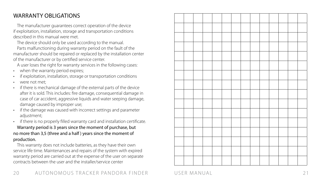# WARRANTY OBLIGATIONS

The manufacturer guarantees correct operation of the device if exploitation, installation, storage and transportation conditions described in this manual were met.

The device should only be used according to the manual.

Parts malfunctioning during warranty period on the fault of the manufacturer should be repaired or replaced by the installation center of the manufacturer or by certified service center.

A user loses the right for warranty services in the following cases:

- when the warranty period expires:
- if exploitation, installation, storage or transportation conditions
- were not met:
- if there is mechanical damage of the external parts of the device after it is sold. This includes: fire damage, consequential damage in case of car accident, aggressive liquids and water seeping damage, damage caused by improper use;
- if the damage was caused with incorrect settings and parameter adjustment:
- if there is no properly filled warranty card and installation certificate.

Warranty period is 3 years since the moment of purchase, but no more than 3,5 (three and a half ) years since the moment of production.

This warranty does not include batteries, as they have their own service life time. Maintenances and repairs of the system with expired warranty period are carried out at the expense of the user on separate contracts between the user and the installer/service center